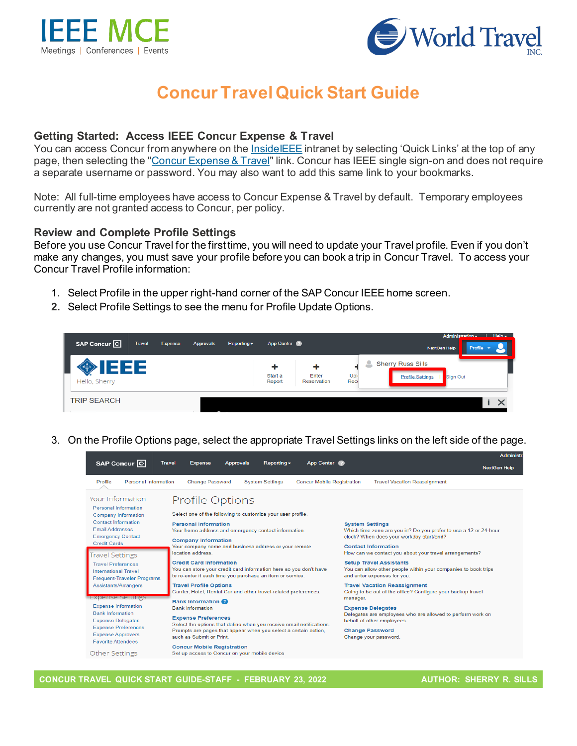



# **Concur Travel Quick Start Guide**

#### **Getting Started: Access IEEE Concur Expense & Travel**

You can access Concur from anywhere on the [InsideIEEE](https://17ieee.sharepoint.com/sites/HumanResources/benefits/brownbag.jpeg?web=1) intranet by selecting 'Quick Links' at the top of any page, then selecting the ["Concur Expense & Travel"](https://services10.ieee.org/idp/startSSO.ping?PartnerSpId=ConcurIEEE) link. Concur has IEEE single sign-on and does not require a separate username or password. You may also want to add this same link to your bookmarks.

Note: All full-time employees have access to Concur Expense & Travel by default. Temporary employees currently are not granted access to Concur, per policy.

#### **Review and Complete Profile Settings**

Before you use Concur Travel for the first time, you will need to update your Travel profile. Even if you don't make any changes, you must save your profile before you can book a trip in Concur Travel. To access your Concur Travel Profile information:

- 1. Select Profile in the upper right-hand corner of the SAP Concur IEEE home screen.
- **2.** Select Profile Settings to see the menu for Profile Update Options.



3. On the Profile Options page, select the appropriate Travel Settings links on the left side of the page.

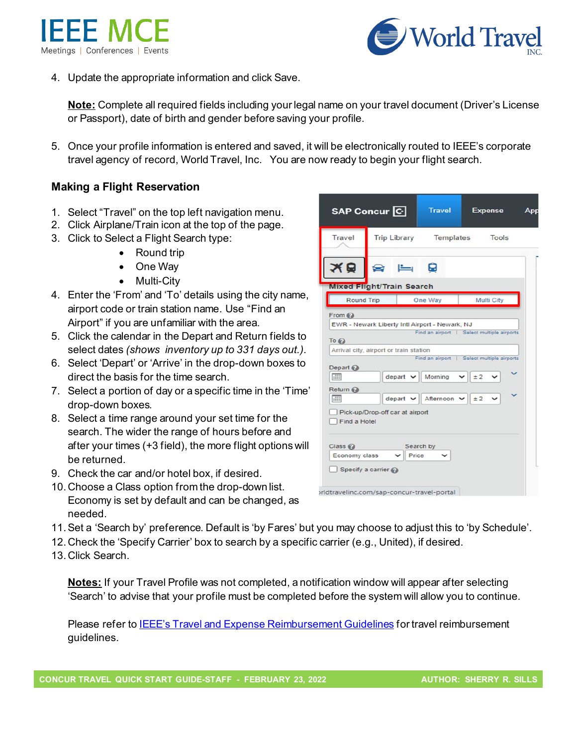



4. Update the appropriate information and click Save.

**Note:** Complete all required fields including your legal name on your travel document (Driver's License or Passport), date of birth and gender before saving your profile.

5. Once your profile information is entered and saved, it will be electronically routed to IEEE's corporate travel agency of record, World Travel, Inc. You are now ready to begin your flight search.

### **Making a Flight Reservation**

- 1. Select "Travel" on the top left navigation menu.
- 2. Click Airplane/Train icon at the top of the page.
- 3. Click to Select a Flight Search type:
	- Round trip
	- One Way
	- Multi-City
- 4. Enter the 'From' and 'To' details using the city name, airport code or train station name. Use "Find an Airport" if you are unfamiliar with the area.
- 5. Click the calendar in the Depart and Return fields to select dates *(shows inventory up to 331 days out.).*
- 6. Select 'Depart' or 'Arrive' in the drop-down boxes to direct the basis for the time search.
- 7. Select a portion of day or a specific time in the 'Time' drop-down boxes.
- 8. Select a time range around your set time for the search. The wider the range of hours before and after your times (+3 field), the more flight options will be returned.
- 9. Check the car and/or hotel box, if desired.
- 10. Choose a Class option from the drop-down list. Economy is set by default and can be changed, as needed.
- 11.Set a 'Search by' preference. Default is 'by Fares' but you may choose to adjust this to 'by Schedule'.
- 12. Check the 'Specify Carrier' box to search by a specific carrier (e.g., United), if desired.
- 13. Click Search.

**Notes:** If your Travel Profile was not completed, a notification window will appear after selecting 'Search' to advise that your profile must be completed before the system will allow you to continue.

Please refer to **IEEE's Travel and Expense Reimbursement Guidelines** for travel reimbursement guidelines.